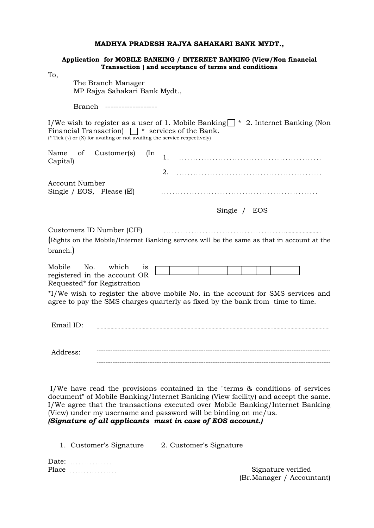#### **MADHYA PRADESH RAJYA SAHAKARI BANK MYDT.,**

|                                                                                                                                           | Application for MOBILE BANKING / INTERNET BANKING (View/Non financial<br>Transaction ) and acceptance of terms and conditions                                       |
|-------------------------------------------------------------------------------------------------------------------------------------------|---------------------------------------------------------------------------------------------------------------------------------------------------------------------|
| To,<br>The Branch Manager<br>MP Rajya Sahakari Bank Mydt.,                                                                                |                                                                                                                                                                     |
| Branch -----------------                                                                                                                  |                                                                                                                                                                     |
| Financial Transaction) $\Box$ * services of the Bank.<br>(* Tick $(\vee)$ or $(X)$ for availing or not availing the service respectively) | I/We wish to register as a user of 1. Mobile Banking $\vert \cdot \vert^*$ 2. Internet Banking (Non                                                                 |
| Customer(s)<br>Name<br>of<br>$(\text{In}$<br>Capital)                                                                                     | 2.                                                                                                                                                                  |
| <b>Account Number</b><br>Single / EOS, Please $(\boxtimes)$                                                                               |                                                                                                                                                                     |
|                                                                                                                                           | Single / EOS                                                                                                                                                        |
| Customers ID Number (CIF)<br>branch.)                                                                                                     | (Rights on the Mobile/Internet Banking services will be the same as that in account at the                                                                          |
| Mobile<br>No.<br>which<br>1S<br>registered in the account OR<br>Requested* for Registration                                               |                                                                                                                                                                     |
|                                                                                                                                           | *I/We wish to register the above mobile No. in the account for SMS services and<br>agree to pay the SMS charges quarterly as fixed by the bank from time to time.   |
| Email ID:                                                                                                                                 |                                                                                                                                                                     |
| Address:                                                                                                                                  |                                                                                                                                                                     |
|                                                                                                                                           | I/We have read the provisions contained in the "terms & conditions of services<br>document" of Mobile Banking/Internet Banking (View facility) and accept the same. |

(View) under my username and password will be binding on me/us. *(Signature of all applicants must in case of EOS account.)*

I/We agree that the transactions executed over Mobile Banking/Internet Banking

1. Customer's Signature 2. Customer's Signature

Date: . . . . . . . . . . . . . . .

Place . . . . . . . . . . . . . . . . . Signature verified (Br.Manager / Accountant)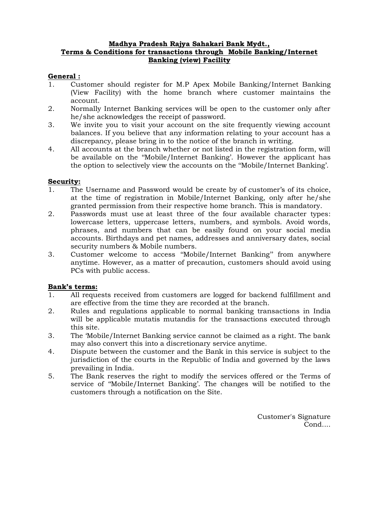## **Madhya Pradesh Rajya Sahakari Bank Mydt., Terms & Conditions for transactions through Mobile Banking/Internet Banking (view) Facility**

# **General :**

- 1. Customer should register for M.P Apex Mobile Banking/Internet Banking (View Facility) with the home branch where customer maintains the account.
- 2. Normally Internet Banking services will be open to the customer only after he/she acknowledges the receipt of password.
- 3. We invite you to visit your account on the site frequently viewing account balances. If you believe that any information relating to your account has a discrepancy, please bring in to the notice of the branch in writing.
- 4. All accounts at the branch whether or not listed in the registration form, will be available on the ''Mobile/Internet Banking'. However the applicant has the option to selectively view the accounts on the ''Mobile/Internet Banking'.

## **Security:**

- 1. The Username and Password would be create by of customer's of its choice, at the time of registration in Mobile/Internet Banking, only after he/she granted permission from their respective home branch. This is mandatory.
- 2. Passwords must use at least three of the four available character types: lowercase letters, uppercase letters, numbers, and symbols. Avoid words, phrases, and numbers that can be easily found on your social media accounts. Birthdays and pet names, addresses and anniversary dates, social security numbers & Mobile numbers.
- 3. Customer welcome to access ''Mobile/Internet Banking'' from anywhere anytime. However, as a matter of precaution, customers should avoid using PCs with public access.

## **Bank's terms:**

- 1. All requests received from customers are logged for backend fulfillment and are effective from the time they are recorded at the branch.
- 2. Rules and regulations applicable to normal banking transactions in India will be applicable mutatis mutandis for the transactions executed through this site.
- 3. The 'Mobile/Internet Banking service cannot be claimed as a right. The bank may also convert this into a discretionary service anytime.
- 4. Dispute between the customer and the Bank in this service is subject to the jurisdiction of the courts in the Republic of India and governed by the laws prevailing in India.
- 5. The Bank reserves the right to modify the services offered or the Terms of service of ''Mobile/Internet Banking'. The changes will be notified to the customers through a notification on the Site.

Customer's Signature Cond....